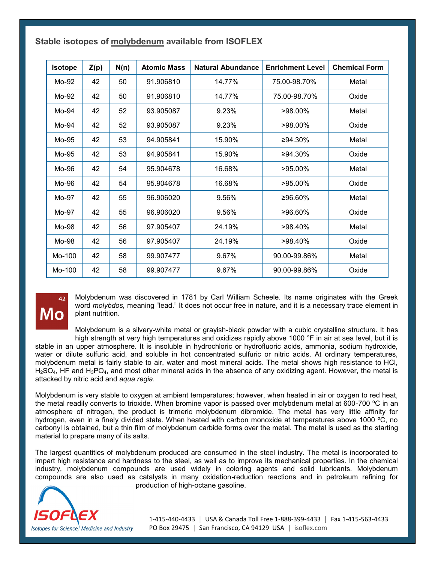| Stable isotopes of molybdenum available from ISOFLEX |  |  |  |
|------------------------------------------------------|--|--|--|
|------------------------------------------------------|--|--|--|

| <b>Isotope</b> | Z(p) | N(n) | <b>Atomic Mass</b> | <b>Natural Abundance</b> | <b>Enrichment Level</b> | <b>Chemical Form</b> |
|----------------|------|------|--------------------|--------------------------|-------------------------|----------------------|
| Mo-92          | 42   | 50   | 91.906810          | 14.77%                   | 75.00-98.70%            | Metal                |
| Mo-92          | 42   | 50   | 91.906810          | 14.77%                   | 75.00-98.70%            | Oxide                |
| Mo-94          | 42   | 52   | 93.905087          | 9.23%                    | $>98.00\%$              | Metal                |
| Mo-94          | 42   | 52   | 93.905087          | 9.23%                    | >98.00%                 | Oxide                |
| Mo-95          | 42   | 53   | 94.905841          | 15.90%                   | ≥94.30%                 | Metal                |
| Mo-95          | 42   | 53   | 94.905841          | 15.90%                   | ≥94.30%                 | Oxide                |
| Mo-96          | 42   | 54   | 95.904678          | 16.68%                   | >95.00%                 | Metal                |
| Mo-96          | 42   | 54   | 95.904678          | 16.68%                   | >95.00%                 | Oxide                |
| Mo-97          | 42   | 55   | 96.906020          | 9.56%                    | ≥96.60%                 | Metal                |
| Mo-97          | 42   | 55   | 96.906020          | 9.56%                    | ≥96.60%                 | Oxide                |
| Mo-98          | 42   | 56   | 97.905407          | 24.19%                   | $>98.40\%$              | Metal                |
| Mo-98          | 42   | 56   | 97.905407          | 24.19%                   | >98.40%                 | Oxide                |
| Mo-100         | 42   | 58   | 99.907477          | 9.67%                    | 90.00-99.86%            | Metal                |
| Mo-100         | 42   | 58   | 99.907477          | 9.67%                    | 90.00-99.86%            | Oxide                |

## MO

Molybdenum was discovered in 1781 by Carl William Scheele. Its name originates with the Greek word *molybdos,* meaning "lead." It does not occur free in nature, and it is a necessary trace element in plant nutrition.

Molybdenum is a silvery-white metal or grayish-black powder with a cubic crystalline structure. It has high strength at very high temperatures and oxidizes rapidly above 1000 °F in air at sea level, but it is stable in an upper atmosphere. It is insoluble in hydrochloric or hydrofluoric acids, ammonia, sodium hydroxide, water or dilute sulfuric acid, and soluble in hot concentrated sulfuric or nitric acids. At ordinary temperatures, molybdenum metal is fairly stable to air, water and most mineral acids. The metal shows high resistance to HCl,  $H<sub>2</sub>SO<sub>4</sub>$ , HF and  $H<sub>3</sub>PO<sub>4</sub>$ , and most other mineral acids in the absence of any oxidizing agent. However, the metal is attacked by nitric acid and *aqua regia*.

Molybdenum is very stable to oxygen at ambient temperatures; however, when heated in air or oxygen to red heat, the metal readily converts to trioxide. When bromine vapor is passed over molybdenum metal at 600-700 ºC in an atmosphere of nitrogen, the product is trimeric molybdenum dibromide. The metal has very little affinity for hydrogen, even in a finely divided state. When heated with carbon monoxide at temperatures above 1000 ºC, no carbonyl is obtained, but a thin film of molybdenum carbide forms over the metal. The metal is used as the starting material to prepare many of its salts.

The largest quantities of molybdenum produced are consumed in the steel industry. The metal is incorporated to impart high resistance and hardness to the steel, as well as to improve its mechanical properties. In the chemical industry, molybdenum compounds are used widely in coloring agents and solid lubricants. Molybdenum compounds are also used as catalysts in many oxidation-reduction reactions and in petroleum refining for production of high-octane gasoline.



1-415-440-4433 │ USA & Canada Toll Free 1-888-399-4433 │ Fax 1-415-563-4433 PO Box 29475 | San Francisco, CA 94129 USA | [isoflex.com](http://www.isoflex.com)